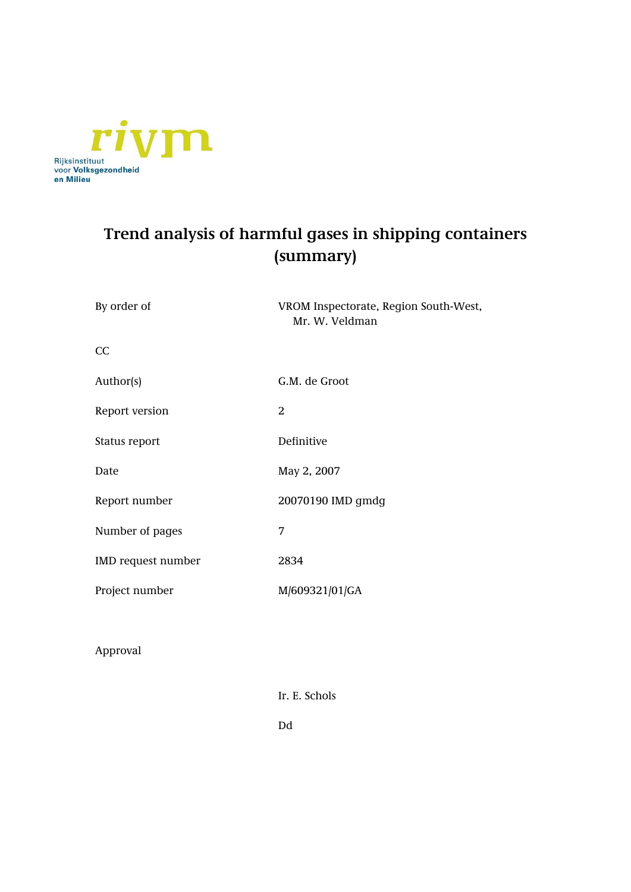

### **Trend analysis of harmful gases in shipping containers (summary)**

| By order of        | VROM Inspectorate, Region South-West,<br>Mr. W. Veldman |
|--------------------|---------------------------------------------------------|
| CC                 |                                                         |
| Author(s)          | G.M. de Groot                                           |
| Report version     | 2                                                       |
| Status report      | Definitive                                              |
| Date               | May 2, 2007                                             |
| Report number      | 20070190 IMD gmdg                                       |
| Number of pages    | 7                                                       |
| IMD request number | 2834                                                    |
| Project number     | M/609321/01/GA                                          |
|                    |                                                         |

Approval

Ir. E. Schols

Dd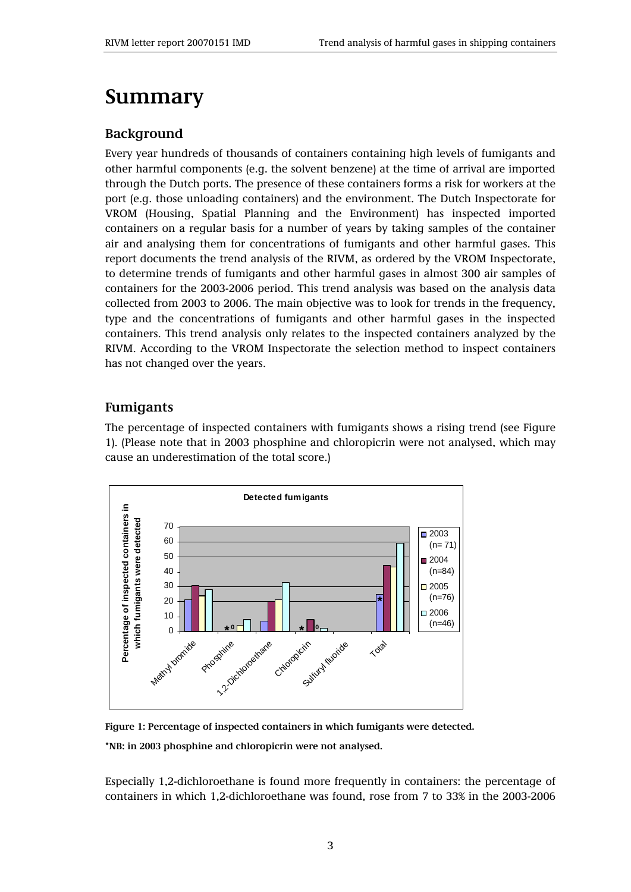## **Summary**

#### **Background**

Every year hundreds of thousands of containers containing high levels of fumigants and other harmful components (e.g. the solvent benzene) at the time of arrival are imported through the Dutch ports. The presence of these containers forms a risk for workers at the port (e.g. those unloading containers) and the environment. The Dutch Inspectorate for VROM (Housing, Spatial Planning and the Environment) has inspected imported containers on a regular basis for a number of years by taking samples of the container air and analysing them for concentrations of fumigants and other harmful gases. This report documents the trend analysis of the RIVM, as ordered by the VROM Inspectorate, to determine trends of fumigants and other harmful gases in almost 300 air samples of containers for the 2003-2006 period. This trend analysis was based on the analysis data collected from 2003 to 2006. The main objective was to look for trends in the frequency, type and the concentrations of fumigants and other harmful gases in the inspected containers. This trend analysis only relates to the inspected containers analyzed by the RIVM. According to the VROM Inspectorate the selection method to inspect containers has not changed over the years.

### **Fumigants**

The percentage of inspected containers with fumigants shows a rising trend (see Figure 1). (Please note that in 2003 phosphine and chloropicrin were not analysed, which may cause an underestimation of the total score.)



**Figure 1: Percentage of inspected containers in which fumigants were detected.** 

**\*NB: in 2003 phosphine and chloropicrin were not analysed.** 

Especially 1,2-dichloroethane is found more frequently in containers: the percentage of containers in which 1,2-dichloroethane was found, rose from 7 to 33% in the 2003-2006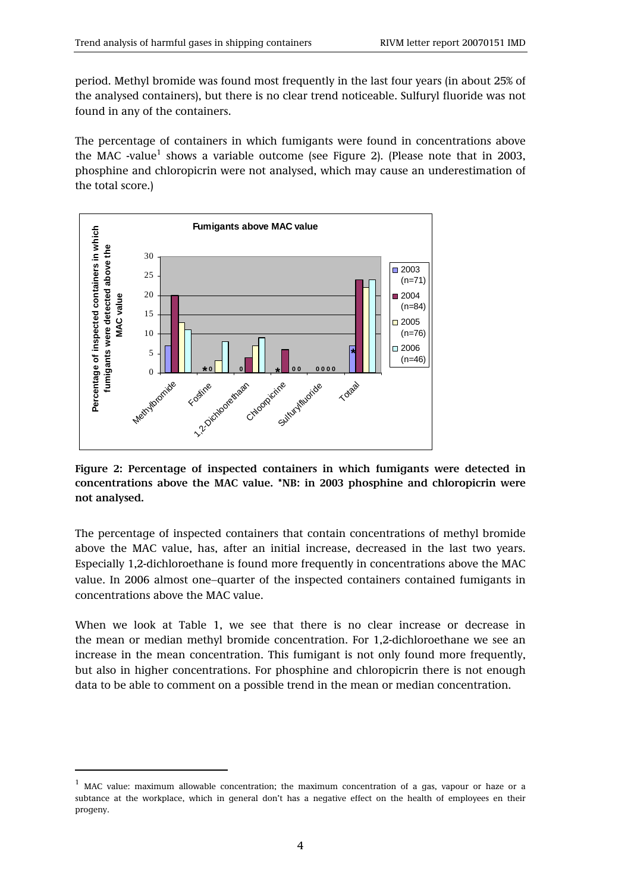period. Methyl bromide was found most frequently in the last four years (in about 25% of the analysed containers), but there is no clear trend noticeable. Sulfuryl fluoride was not found in any of the containers.

The percentage of containers in which fumigants were found in concentrations above the MAC -value<sup>1</sup> shows a variable outcome (see Figure 2). (Please note that in 2003, phosphine and chloropicrin were not analysed, which may cause an underestimation of the total score.)



**Figure 2: Percentage of inspected containers in which fumigants were detected in concentrations above the MAC value. \*NB: in 2003 phosphine and chloropicrin were not analysed.** 

The percentage of inspected containers that contain concentrations of methyl bromide above the MAC value, has, after an initial increase, decreased in the last two years. Especially 1,2-dichloroethane is found more frequently in concentrations above the MAC value. In 2006 almost one−quarter of the inspected containers contained fumigants in concentrations above the MAC value.

When we look at Table 1, we see that there is no clear increase or decrease in the mean or median methyl bromide concentration. For 1,2-dichloroethane we see an increase in the mean concentration. This fumigant is not only found more frequently, but also in higher concentrations. For phosphine and chloropicrin there is not enough data to be able to comment on a possible trend in the mean or median concentration.

-

<sup>1</sup> MAC value: maximum allowable concentration; the maximum concentration of a gas, vapour or haze or a subtance at the workplace, which in general don't has a negative effect on the health of employees en their progeny.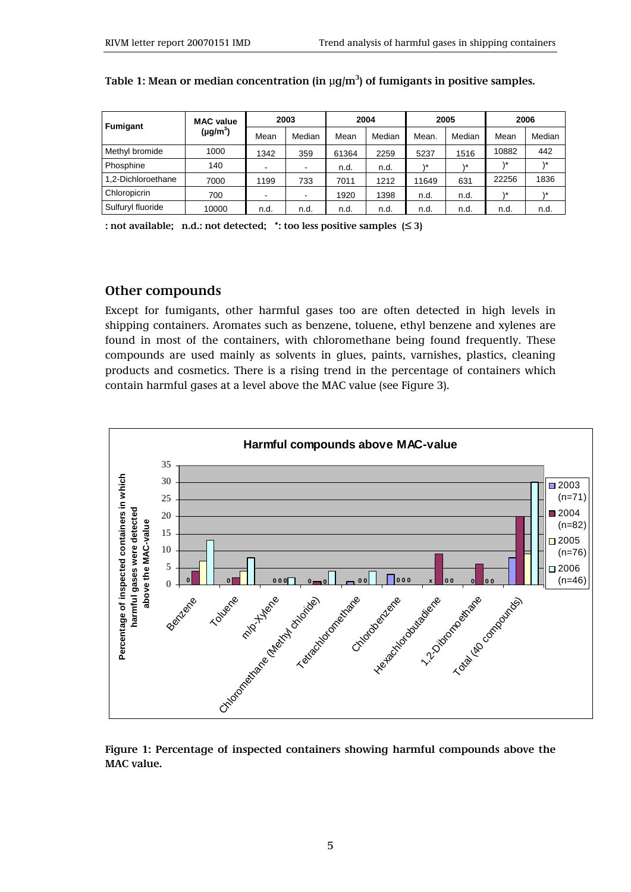| <b>Fumigant</b>    | <b>MAC</b> value<br>(µg/m $^3$ ) | 2003 |        | 2004  |        | 2005      |             | 2006  |        |
|--------------------|----------------------------------|------|--------|-------|--------|-----------|-------------|-------|--------|
|                    |                                  | Mean | Median | Mean  | Median | Mean.     | Median      | Mean  | Median |
| Methyl bromide     | 1000                             | 1342 | 359    | 61364 | 2259   | 5237      | 1516        | 10882 | 442    |
| Phosphine          | 140                              | $\,$ |        | n.d.  | n.d.   | $\lambda$ | $\lambda$ * | ١*    | * ۱    |
| 1.2-Dichloroethane | 7000                             | 1199 | 733    | 7011  | 1212   | 11649     | 631         | 22256 | 1836   |
| Chloropicrin       | 700                              | ۰    |        | 1920  | 1398   | n.d.      | n.d.        | ۰*    | ۱*     |
| Sulfuryl fluoride  | 10000                            | n.d. | n.d.   | n.d.  | n.d.   | n.d.      | n.d.        | n.d.  | n.d.   |

**Table 1: Mean or median concentration (in μg/m3 ) of fumigants in positive samples.**

**: not available; n.d.: not detected; \*: too less positive samples (≤ 3)** 

#### **Other compounds**

Except for fumigants, other harmful gases too are often detected in high levels in shipping containers. Aromates such as benzene, toluene, ethyl benzene and xylenes are found in most of the containers, with chloromethane being found frequently. These compounds are used mainly as solvents in glues, paints, varnishes, plastics, cleaning products and cosmetics. There is a rising trend in the percentage of containers which contain harmful gases at a level above the MAC value (see Figure 3).



**Figure 1: Percentage of inspected containers showing harmful compounds above the MAC value.**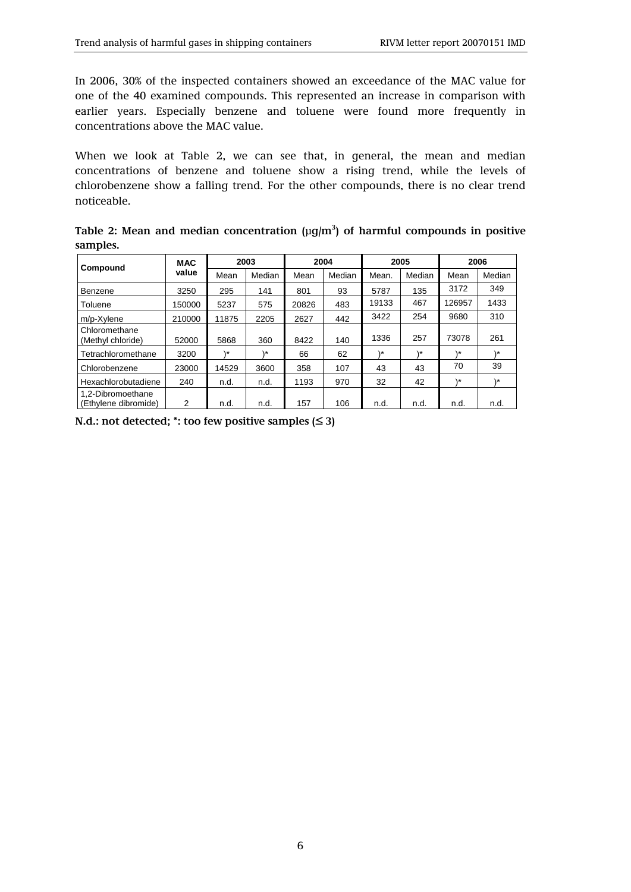In 2006, 30% of the inspected containers showed an exceedance of the MAC value for one of the 40 examined compounds. This represented an increase in comparison with earlier years. Especially benzene and toluene were found more frequently in concentrations above the MAC value.

When we look at Table 2, we can see that, in general, the mean and median concentrations of benzene and toluene show a rising trend, while the levels of chlorobenzene show a falling trend. For the other compounds, there is no clear trend noticeable.

Table 2: Mean and median concentration  $(\mu g/m^3)$  of harmful compounds in positive **samples.** 

| Compound                                  | <b>MAC</b><br>value | 2003  |        | 2004  |        | 2005  |        | 2006   |        |
|-------------------------------------------|---------------------|-------|--------|-------|--------|-------|--------|--------|--------|
|                                           |                     | Mean  | Median | Mean  | Median | Mean. | Median | Mean   | Median |
| Benzene                                   | 3250                | 295   | 141    | 801   | 93     | 5787  | 135    | 3172   | 349    |
| Toluene                                   | 150000              | 5237  | 575    | 20826 | 483    | 19133 | 467    | 126957 | 1433   |
| m/p-Xylene                                | 210000              | 11875 | 2205   | 2627  | 442    | 3422  | 254    | 9680   | 310    |
| Chloromethane<br>(Methyl chloride)        | 52000               | 5868  | 360    | 8422  | 140    | 1336  | 257    | 73078  | 261    |
| Tetrachloromethane                        | 3200                | ۰*    | ۰*     | 66    | 62     | ۱*    | ۱*     | ∖∗     | 1*     |
| Chlorobenzene                             | 23000               | 14529 | 3600   | 358   | 107    | 43    | 43     | 70     | 39     |
| Hexachlorobutadiene                       | 240                 | n.d.  | n.d.   | 1193  | 970    | 32    | 42     | \ *    | * ۱    |
| 1.2-Dibromoethane<br>(Ethylene dibromide) | 2                   | n.d.  | n.d.   | 157   | 106    | n.d.  | n.d.   | n.d.   | n.d.   |

**N.d.: not detected; \*: too few positive samples (≤ 3)**